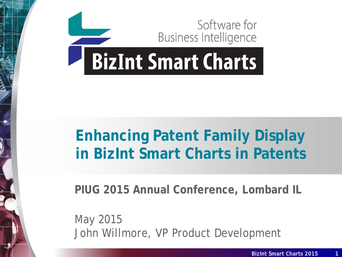

# **Enhancing Patent Family Display in BizInt Smart Charts in Patents**

**PIUG 2015 Annual Conference, Lombard IL**

*May 2015* John Willmore, VP Product Development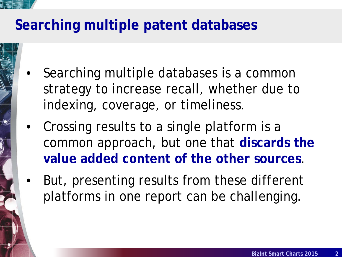# **Searching multiple patent databases**

- Searching multiple databases is a common strategy to increase recall, whether due to indexing, coverage, or timeliness.
- Crossing results to a single platform is a common approach, but one that **discards the value added content of the other sources**.
- But, presenting results from these different platforms in one report can be challenging.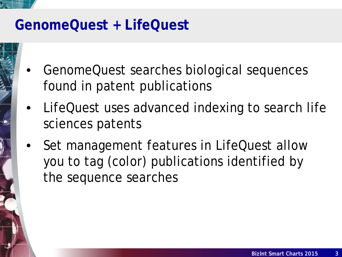

# **GenomeQuest + LifeQuest**

- GenomeQuest searches biological sequences found in patent publications
- LifeQuest uses advanced indexing to search life sciences patents
- Set management features in LifeQuest allow you to tag (color) publications identified by the sequence searches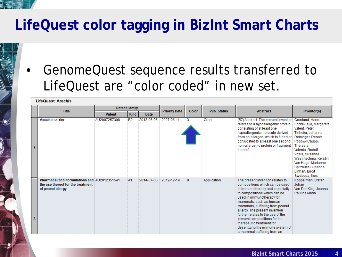# **LifeQuest color tagging in BizInt Smart Charts**

• GenomeQuest sequence results transferred to LifeQuest are "color coded" in new set.

|                | <b>LifeQuest: Arachis</b>                                                                              |               |                      |             |                      |              |                    |                                                                                                                                                                                                                                                                                                                                                                                                                                      |                                                                                                                                                                                                                                           |  |  |  |  |
|----------------|--------------------------------------------------------------------------------------------------------|---------------|----------------------|-------------|----------------------|--------------|--------------------|--------------------------------------------------------------------------------------------------------------------------------------------------------------------------------------------------------------------------------------------------------------------------------------------------------------------------------------------------------------------------------------------------------------------------------------|-------------------------------------------------------------------------------------------------------------------------------------------------------------------------------------------------------------------------------------------|--|--|--|--|
|                |                                                                                                        |               | <b>Patent Family</b> |             |                      |              |                    |                                                                                                                                                                                                                                                                                                                                                                                                                                      |                                                                                                                                                                                                                                           |  |  |  |  |
|                | <b>Title</b>                                                                                           | <b>Patent</b> | <b>Kind</b>          | <b>Date</b> | <b>Priority Date</b> | Color        | <b>Pub. Status</b> | Abstract                                                                                                                                                                                                                                                                                                                                                                                                                             | Inventor(s)                                                                                                                                                                                                                               |  |  |  |  |
| $\overline{7}$ | <b>Vaccine carrier</b>                                                                                 | AU2007257308  | <b>B2</b>            | 2013-06-06  | 2007-06-11           | 3            | Grant              | (57) Abstract: The present invention Gronlund, Hans<br>relates to a hypoallergenic protein<br>consisting of at least one<br>hypoallergenic molecule derived<br>from an allergen, which is fused or Reininger, Renate<br>conjugated to at least one second<br>non-allergenic protein or fragment<br>thereof.                                                                                                                          | Focke-Tejkl, Margarete<br>Valent, Peter<br>Tinhofer, Johanna<br>Popow-Kraupp.<br>Theresia<br>Valenta, Rudolf<br>Vrtala, Susanne<br>Westritschnig, Kerstin<br>Van Hage, Marianne<br>Spitzauer, Susanne<br>Linhart, Birgit<br>Swoboda, Ines |  |  |  |  |
| 8              | Pharmaceutical formulations and AU2012351541<br>the use thereof for the treatment<br>of peanut allergy |               | A1                   | 2014-07-03  | 2012-12-14           | $\mathbf{0}$ | Application        | The present invention relates to<br>compositions which can be used<br>in immunotherapy and especially<br>to compositions which can be<br>used in immunotherapy for<br>mammals, such as human<br>mammals, suffering from peanut<br>allergy. The present invention<br>further relates to the use of the<br>present compositions for the<br>therapeutic treatment for<br>desentizing the immune system of<br>a mammal suffering from an | Koppelman, Stefan<br>Johan<br>Van Der Kleij, Joanna<br>Paulina Maria                                                                                                                                                                      |  |  |  |  |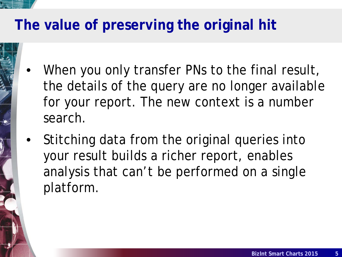# **The value of preserving the original hit**

- When you only transfer PNs to the final result, the details of the query are no longer available for your report. The new context is a number search.
- Stitching data from the original queries into your result builds a richer report, enables analysis that can't be performed on a single platform.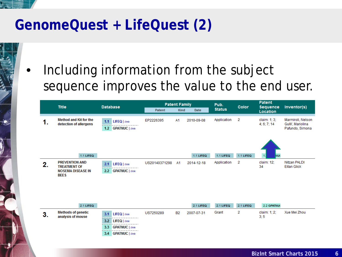# **GenomeQuest + LifeQuest (2)**

Including information from the subject sequence improves the value to the end user.

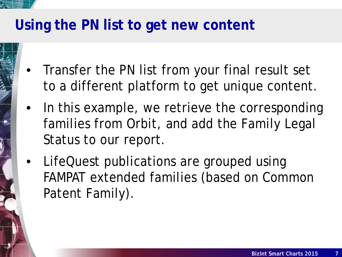# **Using the PN list to get new content**

- Transfer the PN list from your final result set to a different platform to get unique content.
- In this example, we retrieve the corresponding families from Orbit, and add the Family Legal Status to our report.
- LifeQuest publications are grouped using FAMPAT extended families (based on Common Patent Family).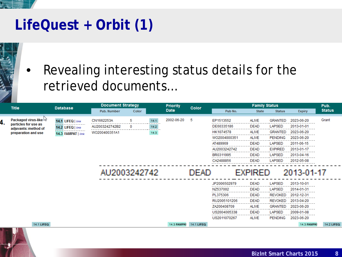# **LifeQuest + Orbit (1)**



# Revealing interesting status details for the retrieved documents…

| <b>Title</b>                                 | <b>Database</b>    | <b>Document Strategy</b> |       |                | <b>Priority</b>    | Color      | <b>Family Status</b> |                |                |                    | Pub.              |
|----------------------------------------------|--------------------|--------------------------|-------|----------------|--------------------|------------|----------------------|----------------|----------------|--------------------|-------------------|
|                                              |                    | Pub. Number              | Color |                | <b>Date</b>        |            | Pub No.              | <b>State</b>   | <b>Status</b>  | <b>Expiry</b>      | <b>Status</b>     |
| <b>Packaged virus-like W</b>                 | 14.1 LIFEQ   link  | CN1662253A               | 5.    | 14.1<br>------ | 2002-06-20         | 5          | EP1513552            | ALIVE          | <b>GRANTED</b> | 2023-06-20         | Grant             |
| particles for use as<br>adjuvants: method of | 14.2 LIFEQ   link  | AU2003242742B2           | 0     | 14.2<br>.      |                    |            | DE60335186           | <b>DEAD</b>    | <b>LAPSED</b>  | 2013-01-01         |                   |
| preparation and use                          | 14.3 FAMPAT   link | WO200400351A1            |       | 14.3           |                    |            | HK1074578            | <b>ALIVE</b>   | <b>GRANTED</b> | 2023-06-20         |                   |
|                                              |                    |                          |       |                |                    |            | WO2004000351         | <b>ALIVE</b>   | <b>PENDING</b> | 2023-06-20         |                   |
|                                              |                    |                          |       |                |                    |            | AT489969             | <b>DEAD</b>    | <b>LAPSED</b>  | 2011-06-15         |                   |
|                                              |                    |                          |       |                |                    |            | AU2003242742         | <b>DEAD</b>    | <b>EXPIRED</b> | 2013-01-17         |                   |
|                                              |                    |                          |       |                |                    |            | BR0311995            | <b>DEAD</b>    | <b>LAPSED</b>  | 2013-04-16         |                   |
|                                              |                    |                          |       |                |                    |            | CA2488856            | <b>DEAD</b>    | <b>LAPSED</b>  | 2012-05-08         |                   |
|                                              |                    | AU2003242742             |       |                |                    | DEAD       |                      | <b>EXPIRED</b> |                | 2013-01-17         |                   |
|                                              |                    |                          |       |                |                    |            | JP2006502979         | <b>DEAD</b>    | <b>LAPSED</b>  | 2013-10-01         |                   |
|                                              |                    |                          |       |                |                    |            | NZ537002             | <b>DEAD</b>    | <b>LAPSED</b>  | 2014-01-31         |                   |
|                                              |                    |                          |       |                |                    |            | PL375306             | <b>DEAD</b>    | <b>REVOKED</b> | 2012-12-31         |                   |
|                                              |                    |                          |       |                |                    |            | RU2005101206         | <b>DEAD</b>    | <b>REVOKED</b> | 2013-04-20         |                   |
|                                              |                    |                          |       |                |                    |            | ZA200408709          | <b>ALIVE</b>   | <b>GRANTED</b> | 2023-06-20         |                   |
|                                              |                    |                          |       |                |                    |            | US2004005338         | <b>DEAD</b>    | <b>LAPSED</b>  | 2009-01-08         |                   |
|                                              |                    |                          |       |                |                    |            | US2011070267         | <b>ALIVE</b>   | <b>PENDING</b> | 2023-06-20         |                   |
| 14.1 LIFEQ                                   |                    |                          |       |                | <b>14.3 FAMPA1</b> | 14.1 LIFEQ |                      |                |                | <b>14.3 FAMPAT</b> | <b>14.2 LIFEQ</b> |
| н.                                           |                    |                          |       |                |                    |            |                      |                |                |                    |                   |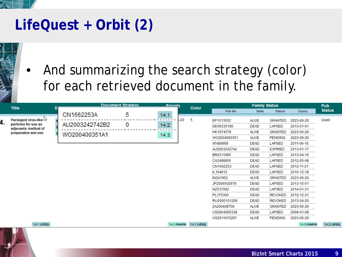# **LifeQuest + Orbit (2)**



• And summarizing the search strategy (color) for each retrieved document in the family.

| <b>Title</b>                                | D |                | <b>Document Strategy</b> | <b>Drinrity</b> |      | Color      | <b>Family Status</b> |              |                                 | Pub.               |                  |
|---------------------------------------------|---|----------------|--------------------------|-----------------|------|------------|----------------------|--------------|---------------------------------|--------------------|------------------|
|                                             |   |                |                          |                 |      |            | Pub No.              | <b>State</b> | <b>Status</b>                   | <b>Expiry</b>      | <b>Status</b>    |
| Packaged virus-like $\sqrt{3}$              |   | CN1662253A     | 5                        | 14.1            | i-20 | 5          | EP1513552            | <b>ALIVE</b> |                                 | 2023-06-20         | Grant            |
| particles for use as                        |   | AU2003242742B2 | 0                        | 14.2            |      |            | DE60335186           | <b>DEAD</b>  | <b>GRANTED</b><br><b>LAPSED</b> | 2013-01-01         |                  |
| adjuvants: method of<br>preparation and use |   |                |                          |                 |      |            | HK1074578            | <b>ALIVE</b> | <b>GRANTED</b>                  | 2023-06-20         |                  |
|                                             |   | WO200400351A1  |                          | 14.3            |      |            | WO2004000351         | ALIVE        | <b>PENDING</b>                  | 2023-06-20         |                  |
|                                             |   |                |                          |                 |      |            | AT489969             | <b>DEAD</b>  | LAPSED                          | 2011-06-15         |                  |
|                                             |   |                |                          |                 |      |            | AU2003242742         | DEAD         | <b>EXPIRED</b>                  | 2013-01-17         |                  |
|                                             |   |                |                          |                 |      |            | BR0311995            | <b>DEAD</b>  | LAPSED                          | 2013-04-16         |                  |
|                                             |   |                |                          |                 |      |            | CA2488856            | <b>DEAD</b>  | <b>LAPSED</b>                   | 2012-05-08         |                  |
|                                             |   |                |                          |                 |      |            | CN1662253            | DEAD         | LAPSED                          | 2012-11-21         |                  |
|                                             |   |                |                          |                 |      |            | IL164812             | <b>DEAD</b>  | <b>LAPSED</b>                   | 2010-12-18         |                  |
|                                             |   |                |                          |                 |      |            | IN241952             | <b>ALIVE</b> | <b>GRANTED</b>                  | 2023-06-20         |                  |
|                                             |   |                |                          |                 |      |            | JP2006502979         | <b>DEAD</b>  | LAPSED                          | 2013-10-01         |                  |
|                                             |   |                |                          |                 |      |            | NZ537002             | <b>DEAD</b>  | LAPSED                          | 2014-01-31         |                  |
|                                             |   |                |                          |                 |      |            | PL375306             | <b>DEAD</b>  | <b>REVOKED</b>                  | 2012-12-31         |                  |
|                                             |   |                |                          |                 |      |            | RU2005101206         | DEAD         | <b>REVOKED</b>                  | 2013-04-20         |                  |
|                                             |   |                |                          |                 |      |            | ZA200408709          | ALIVE        | <b>GRANTED</b>                  | 2023-06-20         |                  |
|                                             |   |                |                          |                 |      |            | US2004005338         | DEAD         | <b>LAPSED</b>                   | 2009-01-08         |                  |
|                                             |   |                |                          |                 |      |            | US2011070267         | <b>ALIVE</b> | <b>PENDING</b>                  | 2023-06-20         |                  |
| <b>14.1 LIFEQ</b><br>$\sim$                 |   |                |                          | 14.3 FAMPAT     |      | 14.1 LIFEQ |                      |              |                                 | <b>14.3 FAMPAT</b> | <b>14.2 LIFE</b> |

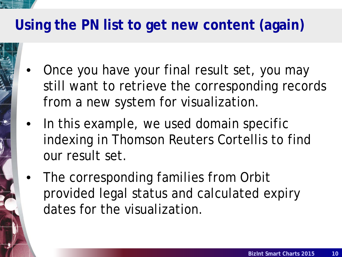# **Using the PN list to get new content (again)**

- Once you have your final result set, you may still want to retrieve the corresponding records from a new system for visualization.
- In this example, we used domain specific indexing in Thomson Reuters Cortellis to find our result set.
- The corresponding families from Orbit provided legal status and calculated expiry dates for the visualization.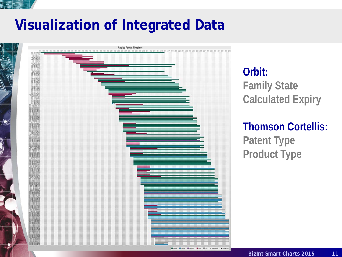

# **Visualization of Integrated Data**



**Orbit: Family State Calculated Expiry**

**Thomson Cortellis: Patent Type Product Type**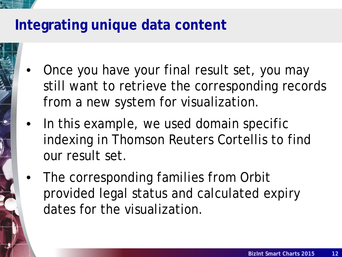- Once you have your final result set, you may still want to retrieve the corresponding records from a new system for visualization.
- In this example, we used domain specific indexing in Thomson Reuters Cortellis to find our result set.
- The corresponding families from Orbit provided legal status and calculated expiry dates for the visualization.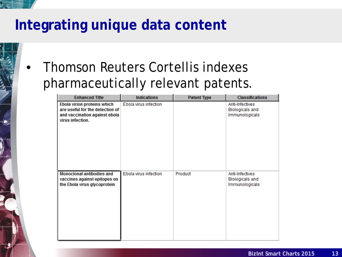# • Thomson Reuters Cortellis indexes pharmaceutically relevant patents.

| <b>Enhanced Title</b>                                                                                               | <b>Indications</b>    | <b>Patent Type</b> | <b>Classifications</b>                                      |
|---------------------------------------------------------------------------------------------------------------------|-----------------------|--------------------|-------------------------------------------------------------|
| Ebola virion proteins which<br>are useful for the detection of<br>and vaccination against ebola<br>virus infection. | Ebola virus infection |                    | Anti-Infectives<br><b>Biologicals</b> and<br>Immunologicals |
| <b>Monoclonal antibodies and</b><br>vaccines against epitopes on<br>the Ebola virus glycoprotein                    | Ebola virus infection | Product            | Anti-Infectives<br><b>Biologicals</b> and<br>Immunologicals |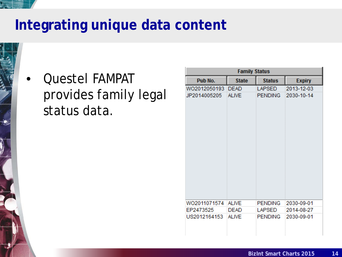• Questel FAMPAT provides family legal status data.

| <b>Family Status</b> |              |                |               |  |  |  |  |  |  |  |  |
|----------------------|--------------|----------------|---------------|--|--|--|--|--|--|--|--|
| Pub No.              | <b>State</b> | <b>Status</b>  | <b>Expiry</b> |  |  |  |  |  |  |  |  |
| WO2012050193         | <b>DEAD</b>  | <b>LAPSED</b>  | 2013-12-03    |  |  |  |  |  |  |  |  |
| JP2014005205         | <b>ALIVE</b> | <b>PENDING</b> | 2030-10-14    |  |  |  |  |  |  |  |  |
|                      |              |                |               |  |  |  |  |  |  |  |  |
|                      |              |                |               |  |  |  |  |  |  |  |  |
|                      |              |                |               |  |  |  |  |  |  |  |  |
|                      |              |                |               |  |  |  |  |  |  |  |  |
|                      |              |                |               |  |  |  |  |  |  |  |  |
|                      |              |                |               |  |  |  |  |  |  |  |  |
|                      |              |                |               |  |  |  |  |  |  |  |  |
|                      |              |                |               |  |  |  |  |  |  |  |  |
|                      |              |                |               |  |  |  |  |  |  |  |  |
|                      |              |                |               |  |  |  |  |  |  |  |  |
|                      |              |                |               |  |  |  |  |  |  |  |  |
|                      |              |                |               |  |  |  |  |  |  |  |  |
|                      |              |                |               |  |  |  |  |  |  |  |  |
| WO2011071574         | <b>ALIVE</b> | <b>PENDING</b> | 2030-09-01    |  |  |  |  |  |  |  |  |
| EP2473525            | <b>DEAD</b>  | <b>LAPSED</b>  | 2014-08-27    |  |  |  |  |  |  |  |  |
| US2012164153         | <b>ALIVE</b> | <b>PENDING</b> | 2030-09-01    |  |  |  |  |  |  |  |  |
|                      |              |                |               |  |  |  |  |  |  |  |  |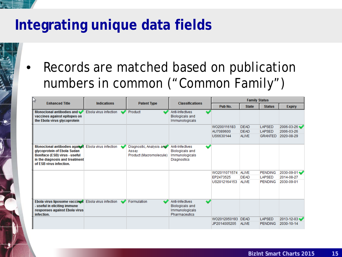# **Integrating unique data fields**

Records are matched based on publication numbers in common ("Common Family")

| $\triangleright$                                                                                                                                           |                       |                                                              |                                                                                           | <b>Family Status</b> |              |                |               |  |  |
|------------------------------------------------------------------------------------------------------------------------------------------------------------|-----------------------|--------------------------------------------------------------|-------------------------------------------------------------------------------------------|----------------------|--------------|----------------|---------------|--|--|
| <b>Enhanced Title</b>                                                                                                                                      | <b>Indications</b>    | <b>Patent Type</b>                                           | <b>Classifications</b>                                                                    | Pub No.              | <b>State</b> | <b>Status</b>  | <b>Expiry</b> |  |  |
| Monoclonal antibodies and<br>vaccines against epitopes on<br>the Ebola virus glycoprotein                                                                  | Ebola virus infection | Product                                                      | Anti-Infectives<br><b>Biologicals and</b><br>Immunologicals                               |                      |              |                |               |  |  |
|                                                                                                                                                            |                       |                                                              |                                                                                           | WO200116183          | <b>DEAD</b>  | <b>LAPSED</b>  | 2006-03-26    |  |  |
|                                                                                                                                                            |                       |                                                              |                                                                                           | AU7089600            | <b>DEAD</b>  | <b>LAPSED</b>  | 2006-03-26    |  |  |
|                                                                                                                                                            |                       |                                                              |                                                                                           | US6630144            | <b>ALIVE</b> | <b>GRANTED</b> | 2020-08-29    |  |  |
| Monoclonal antibodies against<br>glycoprotein of Ebola Sudan<br>Boniface (ESB) virus - useful<br>in the diagnosis and treatment<br>of ESB virus infection. | Ebola virus infection | Diagnostic, Analysis and<br>Assay<br>Product (Macromolecule) | Anti-Infectives<br><b>Biologicals and</b><br>Immunologicals<br>Diagnostics                |                      |              |                |               |  |  |
|                                                                                                                                                            |                       |                                                              |                                                                                           | WO2011071574         | <b>ALIVE</b> | <b>PENDING</b> | 2030-09-01    |  |  |
|                                                                                                                                                            |                       |                                                              |                                                                                           | EP2473525            | <b>DEAD</b>  | <b>LAPSED</b>  | 2014-08-27    |  |  |
|                                                                                                                                                            |                       |                                                              |                                                                                           | US2012164153         | <b>ALIVE</b> | <b>PENDING</b> | 2030-09-01    |  |  |
| Ebola virus liposome vaccines<br>- useful in eliciting immune<br>responses against Ebola virus<br>infection.                                               | Ebola virus infection | Formulation                                                  | بہ<br>Anti-Infectives<br><b>Biologicals and</b><br>Immunologicals<br><b>Pharmaceutics</b> |                      |              |                |               |  |  |
|                                                                                                                                                            |                       |                                                              |                                                                                           | WO2012050193 DEAD    |              | <b>LAPSED</b>  | 2013-12-03    |  |  |
|                                                                                                                                                            |                       |                                                              |                                                                                           | JP2014005205         | <b>ALIVE</b> | <b>PENDING</b> | 2030-10-14    |  |  |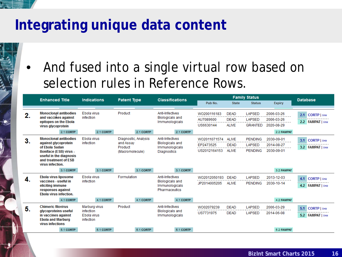• And fused into a single virtual row based on selection rules in Reference Rows.

|     | <b>Enhanced Title</b>                                                                               | <b>Indications</b>                    | <b>Patent Type</b>   | <b>Classifications</b>                                      | <b>Family Status</b>                  |                                            |                                                  | <b>Database</b>                        |                                          |
|-----|-----------------------------------------------------------------------------------------------------|---------------------------------------|----------------------|-------------------------------------------------------------|---------------------------------------|--------------------------------------------|--------------------------------------------------|----------------------------------------|------------------------------------------|
|     |                                                                                                     |                                       |                      |                                                             | Pub No.                               | <b>State</b>                               | <b>Status</b>                                    | <b>Expiry</b>                          |                                          |
| 2.  | <b>Monoclonal antibodies</b><br>and vaccimes against<br>epitopes on the Ebola<br>virus glycoprotein | Ebola virus<br>infection              | Product              | Anti-Infectives<br><b>Biologicals and</b><br>Immunologicals | WO200116183<br>AU7089600<br>US6630144 | <b>DEAD</b><br><b>DEAD</b><br><b>ALIVE</b> | <b>LAPSED</b><br><b>LAPSED</b><br><b>GRANTED</b> | 2006-03-26<br>2006-03-26<br>2020-08-29 | 2.1<br>CORTP   link<br>2.2 FAMPAT   link |
|     | 2.1 CORTP                                                                                           | 2.1 CORTP                             | 2.1 CORTP            | 2.1 CORTP                                                   |                                       |                                            |                                                  | 2.2 FAMPAT                             |                                          |
| 3.  | <b>Monoclonal antibodies</b>                                                                        | Ebola virus                           | Diagnostic, Analysis | Anti-Infectives                                             | WO2011071574                          | <b>ALIVE</b>                               | <b>PENDING</b>                                   | 2030-09-01                             | 3.1 CORTP   link                         |
|     | against glycoprotein<br>of Ebola Sudan                                                              | infection                             | and Assay<br>Product | <b>Biologicals and</b><br>Immunologicals                    | EP2473525                             | <b>DEAD</b>                                | <b>LAPSED</b>                                    | 2014-08-27                             | 3.2 FAMPAT   link                        |
|     | Boniface (ESB) virus -                                                                              |                                       | (Macromolecule)      | Diagnostics                                                 | US2012164153                          | <b>ALIVE</b>                               | <b>PENDING</b>                                   | 2030-09-01                             |                                          |
|     | useful in the diagnosis<br>and treatment of ESB<br>virus infection.                                 |                                       |                      |                                                             |                                       |                                            |                                                  |                                        |                                          |
|     | 3.1 CORTP                                                                                           | 3.1 CORTP                             | 3.1 CORTP            | 3.1 CORTP                                                   |                                       |                                            |                                                  | 3.2 FAMPAT                             |                                          |
| -4. | Ebola virus liposome                                                                                | Ebola virus                           | Formulation          | Anti-Infectives                                             | WO2012050193                          | <b>DEAD</b>                                | <b>LAPSED</b>                                    | 2013-12-03                             | CORTP   link<br>4.1                      |
|     | vaccines - useful in<br>eliciting immune<br>responses against<br>Ebola virus infection.             | infection                             |                      | <b>Biologicals and</b><br>Immunologicals<br>Pharmaceutics   | JP2014005205                          | <b>ALIVE</b>                               | <b>PENDING</b>                                   | 2030-10-14                             | 4.2 FAMPAT   link                        |
|     | 4.1 CORTP                                                                                           | 4.1 CORTP                             | 4.1 CORTP            | 4.1 CORTP                                                   |                                       |                                            |                                                  | <b>4.2 FAMPAT</b>                      |                                          |
| 5.  | <b>Chimeric filovirus</b>                                                                           | Marburg virus                         | Product              | Anti-Infectives                                             | WO02079239                            | <b>DEAD</b>                                | <b>LAPSED</b>                                    | 2006-03-29                             | 5.1<br>CORTP   link                      |
|     | glycoproteins useful<br>in vaccines against<br><b>Ebola and Marburg</b><br>virus infections         | infection<br>Ebola virus<br>infection |                      | <b>Biologicals and</b><br>Immunologicals                    | US7731975                             | <b>DEAD</b>                                | <b>LAPSED</b>                                    | 2014-06-08                             | 5.2 FAMPAT   link                        |
|     | 5.1 CORTP                                                                                           | 5.1 CORTP                             | 5.1 CORTP            | 5.1 CORTP                                                   |                                       |                                            |                                                  | 5.2 FAMPAT                             |                                          |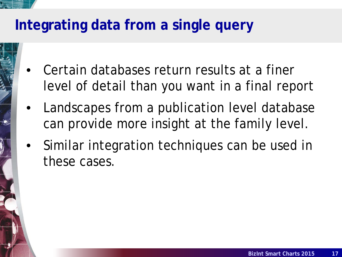# **Integrating data from a single query**

- Certain databases return results at a finer level of detail than you want in a final report
- Landscapes from a publication level database can provide more insight at the family level.
- Similar integration techniques can be used in these cases.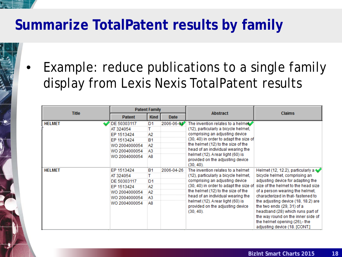# **Summarize TotalPatent results by family**

Example: reduce publications to a single family display from Lexis Nexis TotalPatent results

|               | <b>Patent Family</b> |                |             |                                                                                      |                                                                                                                                                                                                              |  |
|---------------|----------------------|----------------|-------------|--------------------------------------------------------------------------------------|--------------------------------------------------------------------------------------------------------------------------------------------------------------------------------------------------------------|--|
| <b>Title</b>  | <b>Patent</b>        | <b>Kind</b>    | <b>Date</b> | <b>Abstract</b>                                                                      | <b>Claims</b>                                                                                                                                                                                                |  |
| <b>HELMET</b> | DE 50303117          | D <sub>1</sub> | 2006-06-01  | The invention relates to a helmet                                                    |                                                                                                                                                                                                              |  |
|               | AT 324054            |                |             | (12), particularly a bicycle helmet,                                                 |                                                                                                                                                                                                              |  |
|               | EP 1513424           | А2             |             | comprising an adjusting device                                                       |                                                                                                                                                                                                              |  |
|               | EP 1513424           | <b>B1</b>      |             | (30, 40) in order to adapt the size of                                               |                                                                                                                                                                                                              |  |
|               | WO 2004000054        | А2             |             | the helmet (12) to the size of the                                                   |                                                                                                                                                                                                              |  |
|               | WO 2004000054        | A3             |             | head of an individual wearing the                                                    |                                                                                                                                                                                                              |  |
|               | WO 2004000054        | A8             |             | helmet (12). Arear light (60) is<br>provided on the adjusting device<br>$(30, 40)$ . |                                                                                                                                                                                                              |  |
| <b>HELMET</b> | EP 1513424           | <b>B1</b>      | 2006-04-26  | The invention relates to a helmet                                                    | Helmet (12, 12.2), particularly a                                                                                                                                                                            |  |
|               | AT 324054            | т              |             | (12), particularly a bicycle helmet,                                                 | bicycle helmet, comprising an                                                                                                                                                                                |  |
|               | DE 50303117          | D <sub>1</sub> |             | comprising an adjusting device                                                       | adjusting device for adapting the                                                                                                                                                                            |  |
|               | EP 1513424           | A2             |             | (30, 40) in order to adapt the size of                                               | size of the helmet to the head size                                                                                                                                                                          |  |
|               | WO 2004000054        | А2             |             | the helmet (12) to the size of the                                                   | of a person wearing the helmet.                                                                                                                                                                              |  |
|               | WO 2004000054        | A3             |             | head of an individual wearing the                                                    | characterized in that-fastened to                                                                                                                                                                            |  |
|               | WO 2004000054        | A8             |             | helmet (12). Arear light (60) is<br>provided on the adjusting device<br>$(30, 40)$ . | the adjusting device (18, 18.2) are<br>the two ends (29, 31) of a<br>headband (28) which runs part of<br>the way round on the inner side of<br>the helmet opening (26),-the<br>adjusting device (18. [CONT.] |  |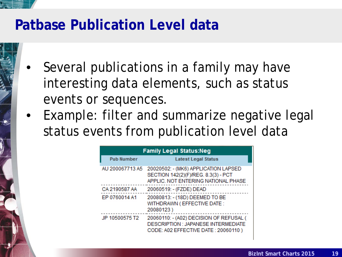#### **Patbase Publication Level data**

- Several publications in a family may have interesting data elements, such as status events or sequences.
- Example: filter and summarize negative legal status events from publication level data

| <b>Family Legal Status:Neg</b> |                                                                                                                       |  |  |  |  |  |  |  |  |  |
|--------------------------------|-----------------------------------------------------------------------------------------------------------------------|--|--|--|--|--|--|--|--|--|
| <b>Pub Number</b>              | <b>Latest Legal Status</b>                                                                                            |  |  |  |  |  |  |  |  |  |
| AU 200067713 A5                | 20020502: - (MK6) APPLICATION LAPSED<br>SECTION 142(2)(F)/REG. 8.3(3) - PCT<br>APPLIC. NOT ENTERING NATIONAL PHASE    |  |  |  |  |  |  |  |  |  |
| CA 2190587 AA                  | 20060519: - (FZDE) DEAD                                                                                               |  |  |  |  |  |  |  |  |  |
| EP 0760014 A1                  | 20080813: - (18D) DEEMED TO BE<br>WITHDRAWN (EFFECTIVE DATE:<br>20080123)                                             |  |  |  |  |  |  |  |  |  |
| JP 10500575 T2                 | 20060110: - (A02) DECISION OF REFUSAL (<br>DESCRIPTION : JAPANESE INTERMEDIATE<br>CODE: A02 EFFECTIVE DATE: 20060110) |  |  |  |  |  |  |  |  |  |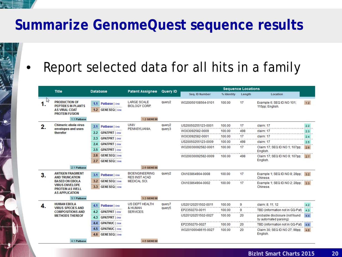# **Summarize GenomeQuest sequence results**

# Report selected data for all hits in a family

|    | <b>Title</b>                                                                                       | <b>Database</b>                             | <b>Patent Assignee</b>                        |                    | <b>Sequence Locations</b><br><b>Query ID</b> |            |        |                                              |             |
|----|----------------------------------------------------------------------------------------------------|---------------------------------------------|-----------------------------------------------|--------------------|----------------------------------------------|------------|--------|----------------------------------------------|-------------|
|    |                                                                                                    |                                             |                                               |                    | Seq. ID Number                               | % Identity | Length | Location                                     |             |
| 47 | <b>PRODUCTION OF</b><br><b>PEPTIDES IN PLANTS</b><br><b>AS VIRAL COAT</b><br><b>PROTEIN FUSION</b> | Patbase   link<br>1.1<br>1.2 GENESEQ   link | <b>LARGE SCALE</b><br><b>BIOLOGY CORP.</b>    | query2             | WO20050108564-0101                           | 100.00     | 17     | Example 6; SEQ ID NO 101;<br>115pp: English. | $1.2$       |
|    | 1.1 Patbase                                                                                        |                                             | 1.2 GENESE                                    |                    |                                              |            |        |                                              |             |
|    | Chimeric ebola virus                                                                               | Patbase   link<br>2.1                       | <b>UNIV</b>                                   | query <sub>2</sub> | US20050255123-0001                           | 100.00     | 17     | claim: 17                                    | 2.2         |
|    | envelopes and uses<br>therefor                                                                     | 2.2 GPATPRT   link                          | PENNSYLVANIA.                                 | query3             | WO03092582-0009                              | 100.00     | 498    | claim: 17                                    | 2.3<br>---- |
|    |                                                                                                    | 2.3 GPATPRT   link                          |                                               |                    | WO03092582-0001                              | 100.00     | 17     | claim: 17                                    | 2.4         |
|    |                                                                                                    | 2.4 GPATPRT   link                          |                                               |                    | US20050255123-0009                           | 100.00     | 498    | claim: 17                                    | 2.5         |
|    |                                                                                                    | <b>GPATPRT</b>   link<br>2.5                |                                               |                    | WO20030092582-0001                           | 100.00     | 17     | Claim 17; SEQ ID NO 1; 107pp;<br>English.    | 2.6         |
|    |                                                                                                    | 2.6 GENESEQ   link                          |                                               |                    | WO20030092582-0009                           | 100.00     | 498    | Claim 17; SEQ ID NO 9; 107pp;                | 2.7         |
|    |                                                                                                    | 2.7<br><b>GENESEQ</b>   link                |                                               |                    |                                              |            |        | English.                                     |             |
|    | 2.1 Patbase                                                                                        |                                             | 2.6 GENESE                                    |                    |                                              |            |        |                                              |             |
| 3. | <b>ANTIGEN FRAGMENT</b><br><b>AND TRUNCATION</b>                                                   | 3.1<br>Patbase   link                       | <b>BIOENGINEERING</b><br><b>RES INST ACAD</b> | query <sub>2</sub> | CN103864904-0008                             | 100.00     | 17     | Example 1; SEQ ID NO 8; 28pp;<br>Chinese.    | 3.2         |
|    | <b>BASED ON EBOLA</b><br><b>VIRUS ENVELOPE</b>                                                     | <b>GENESEQ</b>   link<br>3.2 <sub>2</sub>   | <b>MEDICAL SCI.</b>                           |                    | CN103864904-0002                             | 100.00     | 17     | Example 1; SEQ ID NO 2; 28pp;                | 3.3         |
|    | <b>PROTEIN AS WELL</b><br><b>AS APPLICATION</b>                                                    | 3.3 GENESEQ   link                          |                                               |                    |                                              |            |        | Chinese.                                     |             |
|    | 3.1 Patbase                                                                                        |                                             | 3.2 GENESE                                    |                    |                                              |            |        |                                              |             |
|    | <b>HUMAN EBOLA</b>                                                                                 |                                             | US DEPT HEALTH                                | query7             | US20120251502-0011                           | 100.00     | 9      | claim: 8; 11; 12                             |             |
| 4. | <b>VIRUS SPECIES AND</b>                                                                           | 4.1<br>Patbase   link                       | & HUMAN                                       | query <sub>5</sub> | EP2350270-0011                               | 100.00     | 9      | TBD (information not in GQ-Pat)              | 4.2<br>4.3  |
|    | <b>COMPOSITIONS AND</b><br><b>METHODS THEREOF</b>                                                  | 4.2 GPATPRT   link                          | <b>SERVICES.</b>                              |                    | US20120251502-0027                           | 100.00     | 20     | probable disclosure (not found               | 4.4         |
|    |                                                                                                    | <b>GPATPRT</b>   link<br>4.3                |                                               |                    |                                              |            |        | by automated parsing)                        |             |
|    |                                                                                                    | <b>GPATNUC</b>   link<br>4.4                |                                               |                    | EP2350270-0027                               | 100.00     | 20     | TBD (information not in GQ-Pat)              | 4.5         |
|    |                                                                                                    | 4.5<br><b>GPATNUC</b>   link                |                                               |                    | WO20100048615-0027                           | 100.00     | 20     | Claim 30; SEQ ID NO 27; 98pp;                | 4.6         |
|    |                                                                                                    | 4.6 GENESEQ   link                          |                                               |                    |                                              |            |        | English.                                     |             |
|    | 4.1 Patbase                                                                                        |                                             | 4.6 GENESE                                    |                    |                                              |            |        |                                              |             |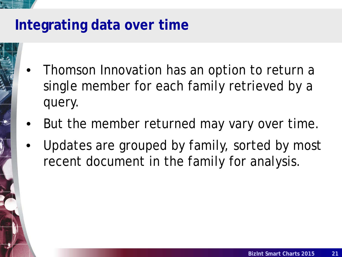# **Integrating data over time**

- Thomson Innovation has an option to return a single member for each family retrieved by a query.
- But the member returned may vary over time.
- Updates are grouped by family, sorted by most recent document in the family for analysis.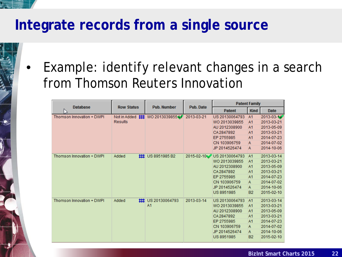# **Integrate records from a single source**

Example: identify relevant changes in a search from Thomson Reuters Innovation

|                           |                   |                                  |                  |                | <b>Patent Family</b> |                  |  |
|---------------------------|-------------------|----------------------------------|------------------|----------------|----------------------|------------------|--|
| <b>Database</b>           | <b>Row Status</b> | <b>Pub. Number</b>               | <b>Pub. Date</b> | <b>Patent</b>  | <b>Kind</b>          | <b>Date</b>      |  |
| Thomson Innovation + DWPI |                   | Not in Added ## WO 2013039855 AT | 2013-03-21       | US 20130064793 | A1                   | $2013 - 03 - 14$ |  |
|                           | <b>Results</b>    |                                  |                  | WO 2013039855  | A <sub>1</sub>       | 2013-03-21       |  |
|                           |                   |                                  |                  | AU 2012308900  | A <sub>1</sub>       | 2013-05-09       |  |
|                           |                   |                                  |                  | CA2847892      | A <sub>1</sub>       | 2013-03-21       |  |
|                           |                   |                                  |                  | EP 2755985     | A <sub>1</sub>       | 2014-07-23       |  |
|                           |                   |                                  |                  | CN 103906759   | Α                    | 2014-07-02       |  |
|                           |                   |                                  |                  | JP 2014526474  | Α                    | 2014-10-06       |  |
| Thomson Innovation + DWPI | Added             | $\sharp$ US 8951985 B2           | 2015-02-10       | US 20130064793 | A <sub>1</sub>       | 2013-03-14       |  |
|                           |                   |                                  |                  | WO 2013039855  | A <sub>1</sub>       | 2013-03-21       |  |
|                           |                   |                                  |                  | AU 2012308900  | A1                   | 2013-05-09       |  |
|                           |                   |                                  |                  | CA2847892      | A1                   | 2013-03-21       |  |
|                           |                   |                                  |                  | EP 2755985     | A <sub>1</sub>       | 2014-07-23       |  |
|                           |                   |                                  |                  | CN 103906759   | Α                    | 2014-07-02       |  |
|                           |                   |                                  |                  | JP 2014526474  | A                    | 2014-10-06       |  |
|                           |                   |                                  |                  | US 8951985     | <b>B2</b>            | 2015-02-10       |  |
| Thomson Innovation + DWPI | Added<br>ᄈ        | US 20130064793                   | 2013-03-14       | US 20130064793 | A1                   | 2013-03-14       |  |
|                           |                   | A <sub>1</sub>                   |                  | WO 2013039855  | A1                   | 2013-03-21       |  |
|                           |                   |                                  |                  | AU 2012308900  | A1                   | 2013-05-09       |  |
|                           |                   |                                  |                  | CA2847892      | A <sub>1</sub>       | 2013-03-21       |  |
|                           |                   |                                  |                  | EP 2755985     | A <sub>1</sub>       | 2014-07-23       |  |
|                           |                   |                                  |                  | CN 103906759   | Α                    | 2014-07-02       |  |
|                           |                   |                                  |                  | JP 2014526474  | A                    | 2014-10-06       |  |
|                           |                   |                                  |                  | US 8951985     | <b>B2</b>            | 2015-02-10       |  |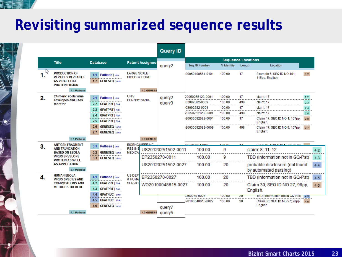#### <u> Albanism</u>

# **Revisiting summarized sequence results**

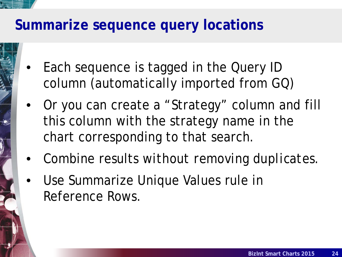## **Summarize sequence query locations**

- Each sequence is tagged in the Query ID column (automatically imported from GQ)
- Or you can create a "Strategy" column and fill this column with the strategy name in the chart corresponding to that search.
- Combine results *without removing duplicates*.
- Use Summarize Unique Values rule in Reference Rows.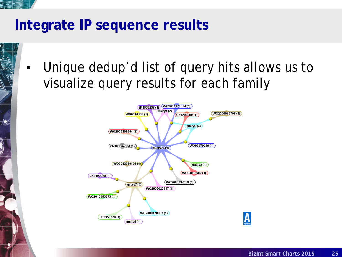# **Integrate IP sequence results**

Unique dedup'd list of query hits allows us to visualize query results for each family

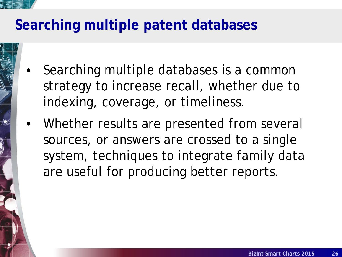# **Searching multiple patent databases**

- Searching multiple databases is a common strategy to increase recall, whether due to indexing, coverage, or timeliness.
- Whether results are presented from several sources, or answers are crossed to a single system, techniques to integrate family data are useful for producing better reports.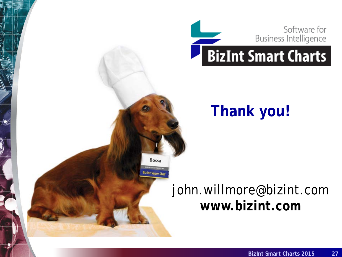

# **Thank you!**

# john.willmore@bizint.com **www.bizint.com**

Bossa

**Bizint Super Ch**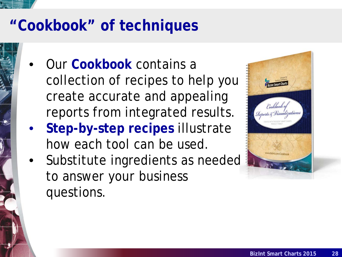

# **"Cookbook" of techniques**

- Our **Cookbook** contains a collection of recipes to help you create accurate and appealing reports from integrated results.
- **Step-by-step recipes** illustrate how each tool can be used.
- Substitute ingredients as needed to answer *your* business questions.

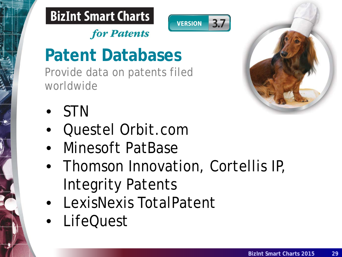



 $3.7$ 

# **Patent Databases**

Provide data on patents filed worldwide

for Patents



- STN
- Questel Orbit.com
- Minesoft PatBase
- Thomson Innovation, Cortellis IP, Integrity Patents
- LexisNexis TotalPatent
- LifeQuest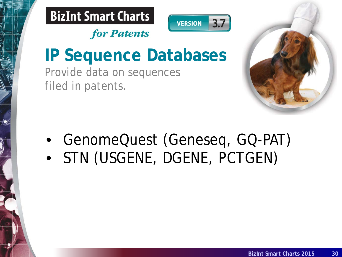



# **IP Sequence Databases**

Provide data on sequences filed in patents.

for Patents



• GenomeQuest (Geneseq, GQ-PAT) • STN (USGENE, DGENE, PCTGEN)